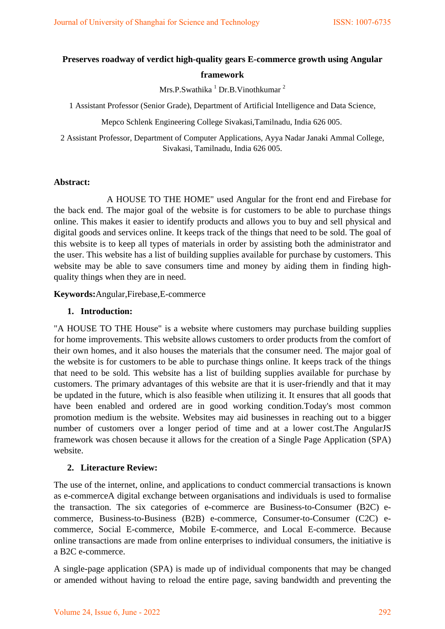# **Preserves roadway of verdict high-quality gears E-commerce growth using Angular framework**

Mrs.P.Swathika <sup>1</sup> Dr.B.Vinothkumar <sup>2</sup>

1 Assistant Professor (Senior Grade), Department of Artificial Intelligence and Data Science,

Mepco Schlenk Engineering College Sivakasi,Tamilnadu, India 626 005.

2 Assistant Professor, Department of Computer Applications, Ayya Nadar Janaki Ammal College, Sivakasi, Tamilnadu, India 626 005.

### **Abstract:**

A HOUSE TO THE HOME" used Angular for the front end and Firebase for the back end. The major goal of the website is for customers to be able to purchase things online. This makes it easier to identify products and allows you to buy and sell physical and digital goods and services online. It keeps track of the things that need to be sold. The goal of this website is to keep all types of materials in order by assisting both the administrator and the user. This website has a list of building supplies available for purchase by customers. This website may be able to save consumers time and money by aiding them in finding highquality things when they are in need.

**Keywords:**Angular,Firebase,E-commerce

#### **1. Introduction:**

"A HOUSE TO THE House" is a website where customers may purchase building supplies for home improvements. This website allows customers to order products from the comfort of their own homes, and it also houses the materials that the consumer need. The major goal of the website is for customers to be able to purchase things online. It keeps track of the things that need to be sold. This website has a list of building supplies available for purchase by customers. The primary advantages of this website are that it is user-friendly and that it may be updated in the future, which is also feasible when utilizing it. It ensures that all goods that have been enabled and ordered are in good working condition.Today's most common promotion medium is the website. Websites may aid businesses in reaching out to a bigger number of customers over a longer period of time and at a lower cost.The AngularJS framework was chosen because it allows for the creation of a Single Page Application (SPA) website.

### **2. Literacture Review:**

The use of the internet, online, and applications to conduct commercial transactions is known as e-commerceA digital exchange between organisations and individuals is used to formalise the transaction. The six categories of e-commerce are Business-to-Consumer (B2C) ecommerce, Business-to-Business (B2B) e-commerce, Consumer-to-Consumer (C2C) ecommerce, Social E-commerce, Mobile E-commerce, and Local E-commerce. Because online transactions are made from online enterprises to individual consumers, the initiative is a B2C e-commerce.

A single-page application (SPA) is made up of individual components that may be changed or amended without having to reload the entire page, saving bandwidth and preventing the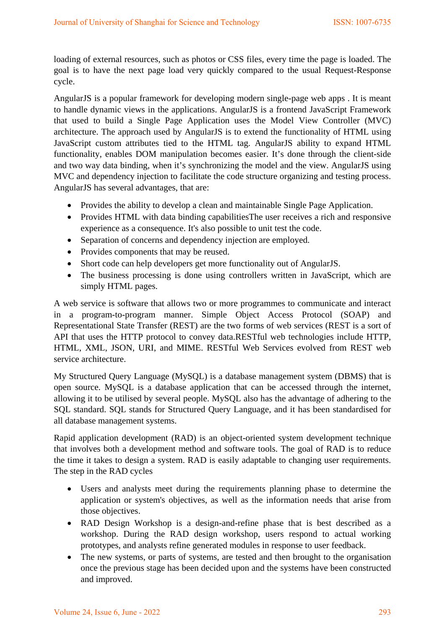loading of external resources, such as photos or CSS files, every time the page is loaded. The goal is to have the next page load very quickly compared to the usual Request-Response cycle.

AngularJS is a popular framework for developing modern single-page web apps . It is meant to handle dynamic views in the applications. AngularJS is a frontend JavaScript Framework that used to build a Single Page Application uses the Model View Controller (MVC) architecture. The approach used by AngularJS is to extend the functionality of HTML using JavaScript custom attributes tied to the HTML tag. AngularJS ability to expand HTML functionality, enables DOM manipulation becomes easier. It's done through the client-side and two way data binding, when it's synchronizing the model and the view. AngularJS using MVC and dependency injection to facilitate the code structure organizing and testing process. AngularJS has several advantages, that are:

- Provides the ability to develop a clean and maintainable Single Page Application.
- Provides HTML with data binding capabilitiesThe user receives a rich and responsive experience as a consequence. It's also possible to unit test the code.
- Separation of concerns and dependency injection are employed.
- Provides components that may be reused.
- Short code can help developers get more functionality out of AngularJS.
- The business processing is done using controllers written in JavaScript, which are simply HTML pages.

A web service is software that allows two or more programmes to communicate and interact in a program-to-program manner. Simple Object Access Protocol (SOAP) and Representational State Transfer (REST) are the two forms of web services (REST is a sort of API that uses the HTTP protocol to convey data.RESTful web technologies include HTTP, HTML, XML, JSON, URI, and MIME. RESTful Web Services evolved from REST web service architecture.

My Structured Query Language (MySQL) is a database management system (DBMS) that is open source. MySQL is a database application that can be accessed through the internet, allowing it to be utilised by several people. MySQL also has the advantage of adhering to the SQL standard. SQL stands for Structured Query Language, and it has been standardised for all database management systems.

Rapid application development (RAD) is an object-oriented system development technique that involves both a development method and software tools. The goal of RAD is to reduce the time it takes to design a system. RAD is easily adaptable to changing user requirements. The step in the RAD cycles

- Users and analysts meet during the requirements planning phase to determine the application or system's objectives, as well as the information needs that arise from those objectives.
- RAD Design Workshop is a design-and-refine phase that is best described as a workshop. During the RAD design workshop, users respond to actual working prototypes, and analysts refine generated modules in response to user feedback.
- The new systems, or parts of systems, are tested and then brought to the organisation once the previous stage has been decided upon and the systems have been constructed and improved.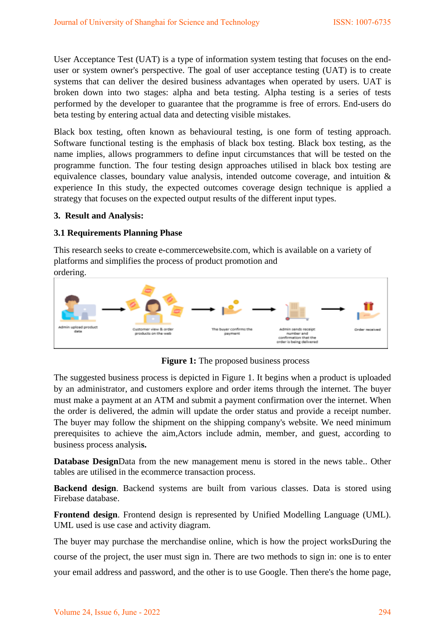User Acceptance Test (UAT) is a type of information system testing that focuses on the enduser or system owner's perspective. The goal of user acceptance testing (UAT) is to create systems that can deliver the desired business advantages when operated by users. UAT is broken down into two stages: alpha and beta testing. Alpha testing is a series of tests performed by the developer to guarantee that the programme is free of errors. End-users do beta testing by entering actual data and detecting visible mistakes.

Black box testing, often known as behavioural testing, is one form of testing approach. Software functional testing is the emphasis of black box testing. Black box testing, as the name implies, allows programmers to define input circumstances that will be tested on the programme function. The four testing design approaches utilised in black box testing are equivalence classes, boundary value analysis, intended outcome coverage, and intuition & experience In this study, the expected outcomes coverage design technique is applied a strategy that focuses on the expected output results of the different input types.

### **3. Result and Analysis:**

# **3.1 Requirements Planning Phase**

This research seeks to create e-commercewebsite.com, which is available on a variety of platforms and simplifies the process of product promotion and ordering.



**Figure 1:** The proposed business process

The suggested business process is depicted in Figure 1. It begins when a product is uploaded by an administrator, and customers explore and order items through the internet. The buyer must make a payment at an ATM and submit a payment confirmation over the internet. When the order is delivered, the admin will update the order status and provide a receipt number. The buyer may follow the shipment on the shipping company's website. We need minimum prerequisites to achieve the aim,Actors include admin, member, and guest, according to business process analysi**s.**

**Database Design**Data from the new management menu is stored in the news table.. Other tables are utilised in the ecommerce transaction process.

**Backend design**. Backend systems are built from various classes. Data is stored using Firebase database.

**Frontend design**. Frontend design is represented by Unified Modelling Language (UML). UML used is use case and activity diagram.

The buyer may purchase the merchandise online, which is how the project worksDuring the course of the project, the user must sign in. There are two methods to sign in: one is to enter your email address and password, and the other is to use Google. Then there's the home page,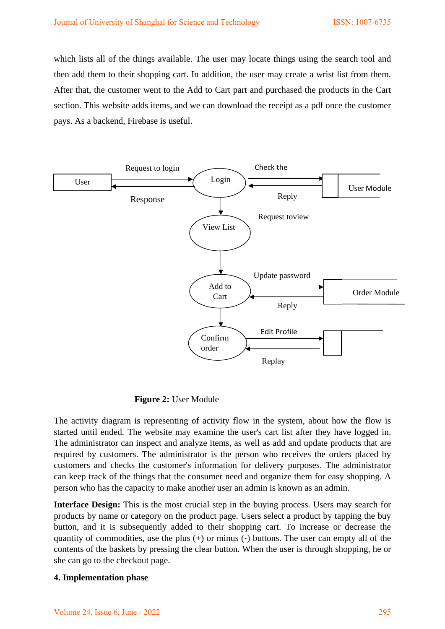which lists all of the things available. The user may locate things using the search tool and then add them to their shopping cart. In addition, the user may create a wrist list from them. After that, the customer went to the Add to Cart part and purchased the products in the Cart section. This website adds items, and we can download the receipt as a pdf once the customer pays. As a backend, Firebase is useful.



 **Figure 2:** User Module

The activity diagram is representing of activity flow in the system, about how the flow is started until ended. The website may examine the user's cart list after they have logged in. The administrator can inspect and analyze items, as well as add and update products that are required by customers. The administrator is the person who receives the orders placed by customers and checks the customer's information for delivery purposes. The administrator can keep track of the things that the consumer need and organize them for easy shopping. A person who has the capacity to make another user an admin is known as an admin.

**Interface Design:** This is the most crucial step in the buying process. Users may search for products by name or category on the product page. Users select a product by tapping the buy button, and it is subsequently added to their shopping cart. To increase or decrease the quantity of commodities, use the plus (+) or minus (-) buttons. The user can empty all of the contents of the baskets by pressing the clear button. When the user is through shopping, he or she can go to the checkout page.

# **4. Implementation phase**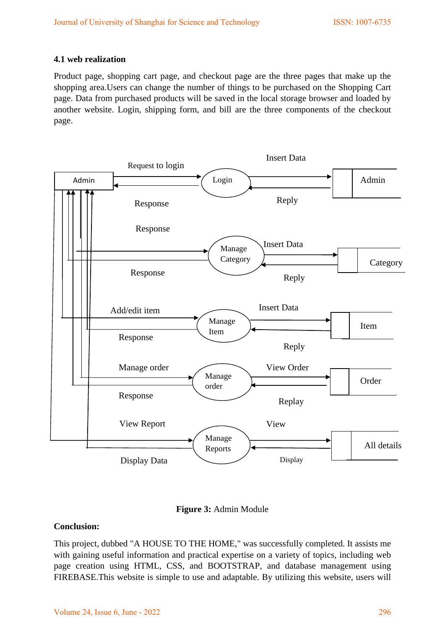### **4.1 web realization**

Product page, shopping cart page, and checkout page are the three pages that make up the shopping area.Users can change the number of things to be purchased on the Shopping Cart page. Data from purchased products will be saved in the local storage browser and loaded by another website. Login, shipping form, and bill are the three components of the checkout page.





### **Conclusion:**

This project, dubbed "A HOUSE TO THE HOME," was successfully completed. It assists me with gaining useful information and practical expertise on a variety of topics, including web page creation using HTML, CSS, and BOOTSTRAP, and database management using FIREBASE.This website is simple to use and adaptable. By utilizing this website, users will